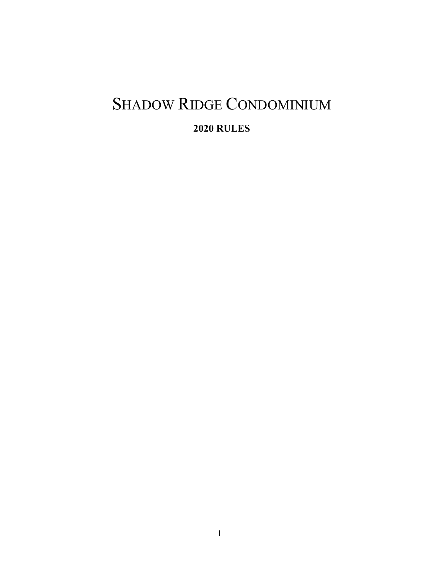# SHADOW RIDGE CONDOMINIUM

**RULES**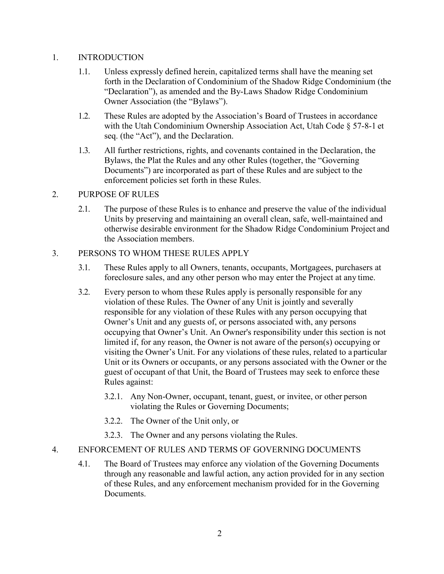# 1. INTRODUCTION

- 1.1. Unless expressly defined herein, capitalized terms shall have the meaning set forth in the Declaration of Condominium of the Shadow Ridge Condominium (the "Declaration"), as amended and the By-Laws Shadow Ridge Condominium Owner Association (the "Bylaws").
- 1.2. These Rules are adopted by the Association's Board of Trustees in accordance with the Utah Condominium Ownership Association Act, Utah Code § 57-8-1 et seq. (the "Act"), and the Declaration.
- 1.3. All further restrictions, rights, and covenants contained in the Declaration, the Bylaws, the Plat the Rules and any other Rules (together, the "Governing Documents") are incorporated as part of these Rules and are subject to the enforcement policies set forth in these Rules.

# 2. PURPOSE OF RULES

2.1. The purpose of these Rules is to enhance and preserve the value of the individual Units by preserving and maintaining an overall clean, safe, well-maintained and otherwise desirable environment for the Shadow Ridge Condominium Project and the Association members.

# 3. PERSONS TO WHOM THESE RULES APPLY

- 3.1. These Rules apply to all Owners, tenants, occupants, Mortgagees, purchasers at foreclosure sales, and any other person who may enter the Project at any time.
- 3.2. Every person to whom these Rules apply is personally responsible for any violation of these Rules. The Owner of any Unit is jointly and severally responsible for any violation of these Rules with any person occupying that Owner's Unit and any guests of, or persons associated with, any persons occupying that Owner's Unit. An Owner's responsibility under this section is not limited if, for any reason, the Owner is not aware of the person(s) occupying or visiting the Owner's Unit. For any violations of these rules, related to a particular Unit or its Owners or occupants, or any persons associated with the Owner or the guest of occupant of that Unit, the Board of Trustees may seek to enforce these Rules against:
	- 3.2.1. Any Non-Owner, occupant, tenant, guest, or invitee, or other person violating the Rules or Governing Documents;
	- 3.2.2. The Owner of the Unit only, or
	- 3.2.3. The Owner and any persons violating the Rules.

# 4. ENFORCEMENT OF RULES AND TERMS OF GOVERNING DOCUMENTS

4.1. The Board of Trustees may enforce any violation of the Governing Documents through any reasonable and lawful action, any action provided for in any section of these Rules, and any enforcement mechanism provided for in the Governing Documents.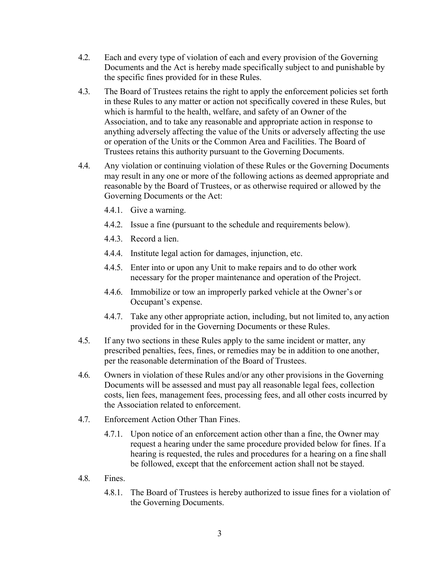- 4.2. Each and every type of violation of each and every provision of the Governing Documents and the Act is hereby made specifically subject to and punishable by the specific fines provided for in these Rules.
- 4.3. The Board of Trustees retains the right to apply the enforcement policies set forth in these Rules to any matter or action not specifically covered in these Rules, but which is harmful to the health, welfare, and safety of an Owner of the Association, and to take any reasonable and appropriate action in response to anything adversely affecting the value of the Units or adversely affecting the use or operation of the Units or the Common Area and Facilities. The Board of Trustees retains this authority pursuant to the Governing Documents.
- 4.4. Any violation or continuing violation of these Rules or the Governing Documents may result in any one or more of the following actions as deemed appropriate and reasonable by the Board of Trustees, or as otherwise required or allowed by the Governing Documents or the Act:
	- 4.4.1. Give a warning.
	- 4.4.2. Issue a fine (pursuant to the schedule and requirements below).
	- 4.4.3. Record a lien.
	- 4.4.4. Institute legal action for damages, injunction, etc.
	- 4.4.5. Enter into or upon any Unit to make repairs and to do other work necessary for the proper maintenance and operation of the Project.
	- 4.4.6. Immobilize or tow an improperly parked vehicle at the Owner's or Occupant's expense.
	- 4.4.7. Take any other appropriate action, including, but not limited to, any action provided for in the Governing Documents or these Rules.
- 4.5. If any two sections in these Rules apply to the same incident or matter, any prescribed penalties, fees, fines, or remedies may be in addition to one another, per the reasonable determination of the Board of Trustees.
- 4.6. Owners in violation of these Rules and/or any other provisions in the Governing Documents will be assessed and must pay all reasonable legal fees, collection costs, lien fees, management fees, processing fees, and all other costs incurred by the Association related to enforcement.
- 4.7. Enforcement Action Other Than Fines.
	- 4.7.1. Upon notice of an enforcement action other than a fine, the Owner may request a hearing under the same procedure provided below for fines. If a hearing is requested, the rules and procedures for a hearing on a fine shall be followed, except that the enforcement action shall not be stayed.
- 4.8. Fines.
	- 4.8.1. The Board of Trustees is hereby authorized to issue fines for a violation of the Governing Documents.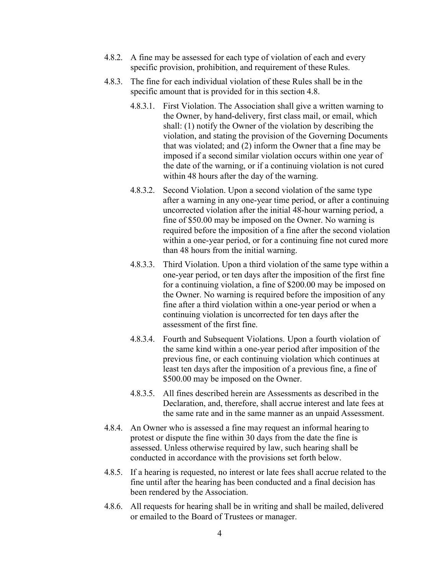- 4.8.2. A fine may be assessed for each type of violation of each and every specific provision, prohibition, and requirement of these Rules.
- 4.8.3. The fine for each individual violation of these Rules shall be in the specific amount that is provided for in this section 4.8.
	- 4.8.3.1. First Violation. The Association shall give a written warning to the Owner, by hand-delivery, first class mail, or email, which shall: (1) notify the Owner of the violation by describing the violation, and stating the provision of the Governing Documents that was violated; and (2) inform the Owner that a fine may be imposed if a second similar violation occurs within one year of the date of the warning, or if a continuing violation is not cured within 48 hours after the day of the warning.
	- 4.8.3.2. Second Violation. Upon a second violation of the same type after a warning in any one-year time period, or after a continuing uncorrected violation after the initial 48-hour warning period, a fine of \$50.00 may be imposed on the Owner. No warning is required before the imposition of a fine after the second violation within a one-year period, or for a continuing fine not cured more than 48 hours from the initial warning.
	- 4.8.3.3. Third Violation. Upon a third violation of the same type within a one-year period, or ten days after the imposition of the first fine for a continuing violation, a fine of \$200.00 may be imposed on the Owner. No warning is required before the imposition of any fine after a third violation within a one-year period or when a continuing violation is uncorrected for ten days after the assessment of the first fine.
	- 4.8.3.4. Fourth and Subsequent Violations. Upon a fourth violation of the same kind within a one-year period after imposition of the previous fine, or each continuing violation which continues at least ten days after the imposition of a previous fine, a fine of \$500.00 may be imposed on the Owner.
	- 4.8.3.5. All fines described herein are Assessments as described in the Declaration, and, therefore, shall accrue interest and late fees at the same rate and in the same manner as an unpaid Assessment.
- 4.8.4. An Owner who is assessed a fine may request an informal hearing to protest or dispute the fine within 30 days from the date the fine is assessed. Unless otherwise required by law, such hearing shall be conducted in accordance with the provisions set forth below.
- 4.8.5. If a hearing is requested, no interest or late fees shall accrue related to the fine until after the hearing has been conducted and a final decision has been rendered by the Association.
- 4.8.6. All requests for hearing shall be in writing and shall be mailed, delivered or emailed to the Board of Trustees or manager.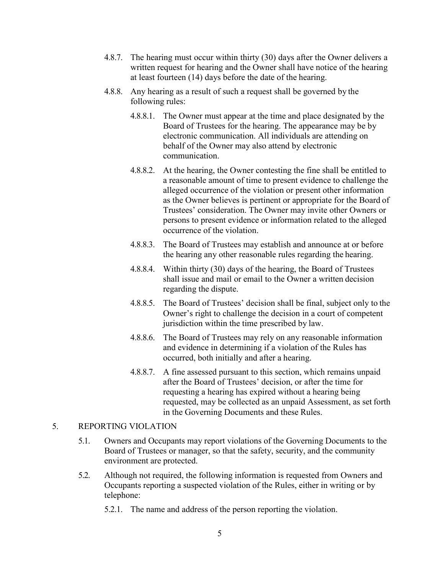- 4.8.7. The hearing must occur within thirty (30) days after the Owner delivers a written request for hearing and the Owner shall have notice of the hearing at least fourteen (14) days before the date of the hearing.
- 4.8.8. Any hearing as a result of such a request shall be governed by the following rules:
	- 4.8.8.1. The Owner must appear at the time and place designated by the Board of Trustees for the hearing. The appearance may be by electronic communication. All individuals are attending on behalf of the Owner may also attend by electronic communication.
	- 4.8.8.2. At the hearing, the Owner contesting the fine shall be entitled to a reasonable amount of time to present evidence to challenge the alleged occurrence of the violation or present other information as the Owner believes is pertinent or appropriate for the Board of Trustees' consideration. The Owner may invite other Owners or persons to present evidence or information related to the alleged occurrence of the violation.
	- 4.8.8.3. The Board of Trustees may establish and announce at or before the hearing any other reasonable rules regarding the hearing.
	- 4.8.8.4. Within thirty (30) days of the hearing, the Board of Trustees shall issue and mail or email to the Owner a written decision regarding the dispute.
	- 4.8.8.5. The Board of Trustees' decision shall be final, subject only to the Owner's right to challenge the decision in a court of competent jurisdiction within the time prescribed by law.
	- 4.8.8.6. The Board of Trustees may rely on any reasonable information and evidence in determining if a violation of the Rules has occurred, both initially and after a hearing.
	- 4.8.8.7. A fine assessed pursuant to this section, which remains unpaid after the Board of Trustees' decision, or after the time for requesting a hearing has expired without a hearing being requested, may be collected as an unpaid Assessment, as set forth in the Governing Documents and these Rules.

## 5. REPORTING VIOLATION

- 5.1. Owners and Occupants may report violations of the Governing Documents to the Board of Trustees or manager, so that the safety, security, and the community environment are protected.
- 5.2. Although not required, the following information is requested from Owners and Occupants reporting a suspected violation of the Rules, either in writing or by telephone:
	- 5.2.1. The name and address of the person reporting the violation.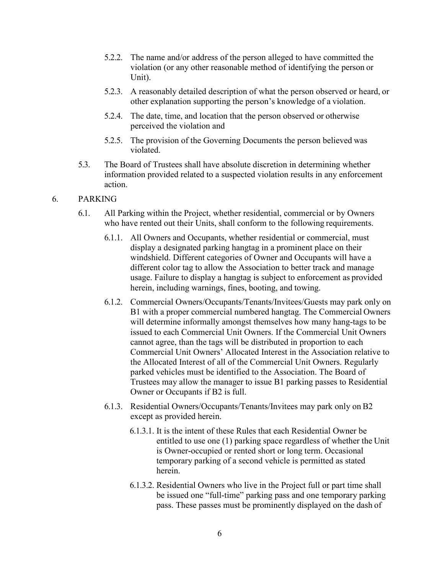- 5.2.2. The name and/or address of the person alleged to have committed the violation (or any other reasonable method of identifying the person or Unit).
- 5.2.3. A reasonably detailed description of what the person observed or heard, or other explanation supporting the person's knowledge of a violation.
- 5.2.4. The date, time, and location that the person observed or otherwise perceived the violation and
- 5.2.5. The provision of the Governing Documents the person believed was violated.
- 5.3. The Board of Trustees shall have absolute discretion in determining whether information provided related to a suspected violation results in any enforcement action.

## 6. PARKING

- 6.1. All Parking within the Project, whether residential, commercial or by Owners who have rented out their Units, shall conform to the following requirements.
	- 6.1.1. All Owners and Occupants, whether residential or commercial, must display a designated parking hangtag in a prominent place on their windshield. Different categories of Owner and Occupants will have a different color tag to allow the Association to better track and manage usage. Failure to display a hangtag is subject to enforcement as provided herein, including warnings, fines, booting, and towing.
	- 6.1.2. Commercial Owners/Occupants/Tenants/Invitees/Guests may park only on B1 with a proper commercial numbered hangtag. The Commercial Owners will determine informally amongst themselves how many hang-tags to be issued to each Commercial Unit Owners. If the Commercial Unit Owners cannot agree, than the tags will be distributed in proportion to each Commercial Unit Owners' Allocated Interest in the Association relative to the Allocated Interest of all of the Commercial Unit Owners. Regularly parked vehicles must be identified to the Association. The Board of Trustees may allow the manager to issue B1 parking passes to Residential Owner or Occupants if B2 is full.
	- 6.1.3. Residential Owners/Occupants/Tenants/Invitees may park only on B2 except as provided herein.
		- 6.1.3.1. It is the intent of these Rules that each Residential Owner be entitled to use one (1) parking space regardless of whether the Unit is Owner-occupied or rented short or long term. Occasional temporary parking of a second vehicle is permitted as stated herein.
		- 6.1.3.2. Residential Owners who live in the Project full or part time shall be issued one "full-time" parking pass and one temporary parking pass. These passes must be prominently displayed on the dash of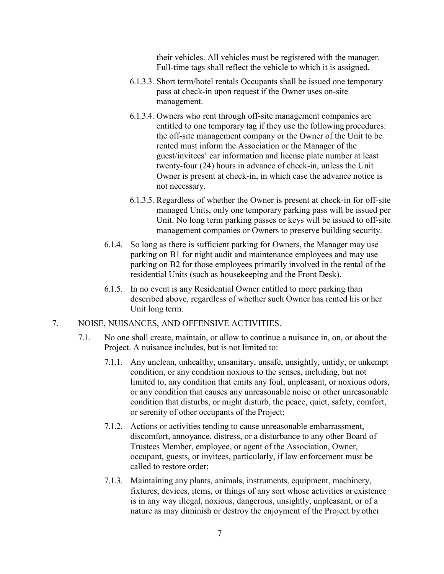their vehicles. All vehicles must be registered with the manager. Full-time tags shall reflect the vehicle to which it is assigned.

- 6.1.3.3. Short term/hotel rentals Occupants shall be issued one temporary pass at check-in upon request if the Owner uses on-site management.
- 6.1.3.4. Owners who rent through off-site management companies are entitled to one temporary tag if they use the following procedures: the off-site management company or the Owner of the Unit to be rented must inform the Association or the Manager of the guest/invitees' car information and license plate number at least twenty-four (24) hours in advance of check-in, unless the Unit Owner is present at check-in, in which case the advance notice is not necessary.
- 6.1.3.5. Regardless of whether the Owner is present at check-in for off-site managed Units, only one temporary parking pass will be issued per Unit. No long term parking passes or keys will be issued to off-site management companies or Owners to preserve building security.
- 6.1.4. So long as there is sufficient parking for Owners, the Manager may use parking on B1 for night audit and maintenance employees and may use parking on B2 for those employees primarily involved in the rental of the residential Units (such as housekeeping and the Front Desk).
- 6.1.5. In no event is any Residential Owner entitled to more parking than described above, regardless of whether such Owner has rented his or her Unit long term.
- 7. NOISE, NUISANCES, AND OFFENSIVE ACTIVITIES.
	- 7.1. No one shall create, maintain, or allow to continue a nuisance in, on, or about the Project. A nuisance includes, but is not limited to:
		- 7.1.1. Any unclean, unhealthy, unsanitary, unsafe, unsightly, untidy, or unkempt condition, or any condition noxious to the senses, including, but not limited to, any condition that emits any foul, unpleasant, or noxious odors, or any condition that causes any unreasonable noise or other unreasonable condition that disturbs, or might disturb, the peace, quiet, safety, comfort, or serenity of other occupants of the Project;
		- 7.1.2. Actions or activities tending to cause unreasonable embarrassment, discomfort, annoyance, distress, or a disturbance to any other Board of Trustees Member, employee, or agent of the Association, Owner, occupant, guests, or invitees, particularly, if law enforcement must be called to restore order;
		- 7.1.3. Maintaining any plants, animals, instruments, equipment, machinery, fixtures, devices, items, or things of any sort whose activities or existence is in any way illegal, noxious, dangerous, unsightly, unpleasant, or of a nature as may diminish or destroy the enjoyment of the Project by other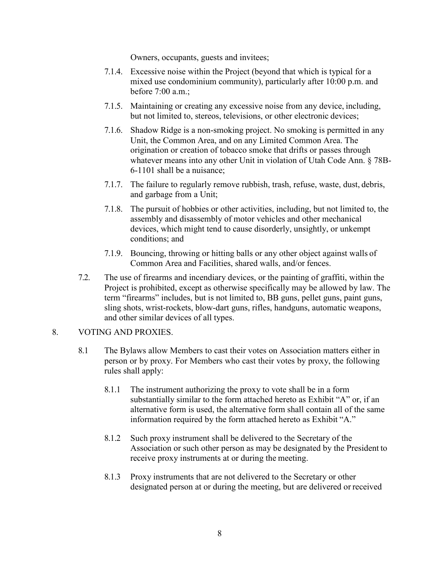Owners, occupants, guests and invitees;

- 7.1.4. Excessive noise within the Project (beyond that which is typical for a mixed use condominium community), particularly after 10:00 p.m. and before 7:00 a.m.;
- 7.1.5. Maintaining or creating any excessive noise from any device, including, but not limited to, stereos, televisions, or other electronic devices;
- 7.1.6. Shadow Ridge is a non-smoking project. No smoking is permitted in any Unit, the Common Area, and on any Limited Common Area. The origination or creation of tobacco smoke that drifts or passes through whatever means into any other Unit in violation of Utah Code Ann. § 78B-6-1101 shall be a nuisance;
- 7.1.7. The failure to regularly remove rubbish, trash, refuse, waste, dust, debris, and garbage from a Unit;
- 7.1.8. The pursuit of hobbies or other activities, including, but not limited to, the assembly and disassembly of motor vehicles and other mechanical devices, which might tend to cause disorderly, unsightly, or unkempt conditions; and
- 7.1.9. Bouncing, throwing or hitting balls or any other object against walls of Common Area and Facilities, shared walls, and/or fences.
- 7.2. The use of firearms and incendiary devices, or the painting of graffiti, within the Project is prohibited, except as otherwise specifically may be allowed by law. The term "firearms" includes, but is not limited to, BB guns, pellet guns, paint guns, sling shots, wrist-rockets, blow-dart guns, rifles, handguns, automatic weapons, and other similar devices of all types.

## 8. VOTING AND PROXIES.

- 8.1 The Bylaws allow Members to cast their votes on Association matters either in person or by proxy. For Members who cast their votes by proxy, the following rules shall apply:
	- 8.1.1 The instrument authorizing the proxy to vote shall be in a form substantially similar to the form attached hereto as Exhibit "A" or, if an alternative form is used, the alternative form shall contain all of the same information required by the form attached hereto as Exhibit "A."
	- 8.1.2 Such proxy instrument shall be delivered to the Secretary of the Association or such other person as may be designated by the President to receive proxy instruments at or during the meeting.
	- 8.1.3 Proxy instruments that are not delivered to the Secretary or other designated person at or during the meeting, but are delivered or received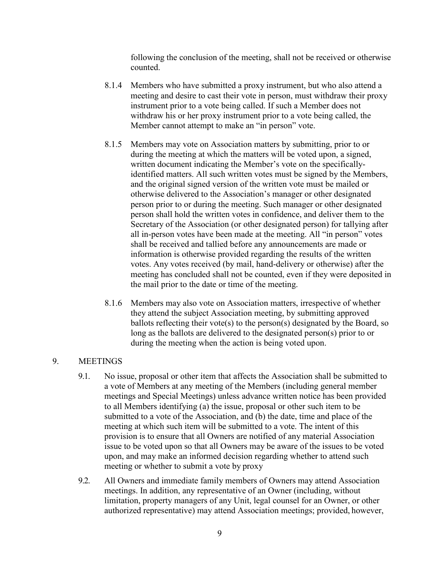following the conclusion of the meeting, shall not be received or otherwise counted.

- 8.1.4 Members who have submitted a proxy instrument, but who also attend a meeting and desire to cast their vote in person, must withdraw their proxy instrument prior to a vote being called. If such a Member does not withdraw his or her proxy instrument prior to a vote being called, the Member cannot attempt to make an "in person" vote.
- 8.1.5 Members may vote on Association matters by submitting, prior to or during the meeting at which the matters will be voted upon, a signed, written document indicating the Member's vote on the specificallyidentified matters. All such written votes must be signed by the Members, and the original signed version of the written vote must be mailed or otherwise delivered to the Association's manager or other designated person prior to or during the meeting. Such manager or other designated person shall hold the written votes in confidence, and deliver them to the Secretary of the Association (or other designated person) for tallying after all in-person votes have been made at the meeting. All "in person" votes shall be received and tallied before any announcements are made or information is otherwise provided regarding the results of the written votes. Any votes received (by mail, hand-delivery or otherwise) after the meeting has concluded shall not be counted, even if they were deposited in the mail prior to the date or time of the meeting.
- 8.1.6 Members may also vote on Association matters, irrespective of whether they attend the subject Association meeting, by submitting approved ballots reflecting their vote(s) to the person(s) designated by the Board, so long as the ballots are delivered to the designated person(s) prior to or during the meeting when the action is being voted upon.

## 9. MEETINGS

- 9.1. No issue, proposal or other item that affects the Association shall be submitted to a vote of Members at any meeting of the Members (including general member meetings and Special Meetings) unless advance written notice has been provided to all Members identifying (a) the issue, proposal or other such item to be submitted to a vote of the Association, and (b) the date, time and place of the meeting at which such item will be submitted to a vote. The intent of this provision is to ensure that all Owners are notified of any material Association issue to be voted upon so that all Owners may be aware of the issues to be voted upon, and may make an informed decision regarding whether to attend such meeting or whether to submit a vote by proxy
- 9.2. All Owners and immediate family members of Owners may attend Association meetings. In addition, any representative of an Owner (including, without limitation, property managers of any Unit, legal counsel for an Owner, or other authorized representative) may attend Association meetings; provided, however,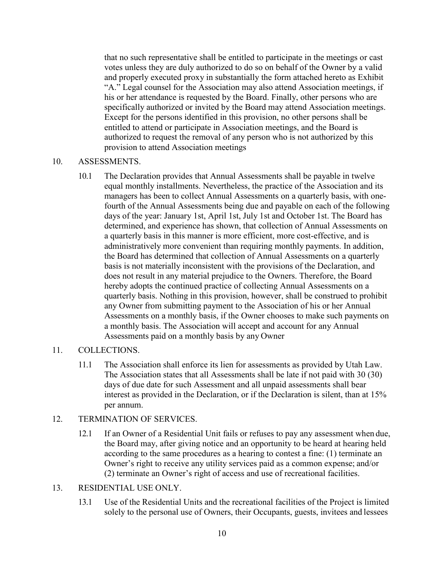that no such representative shall be entitled to participate in the meetings or cast votes unless they are duly authorized to do so on behalf of the Owner by a valid and properly executed proxy in substantially the form attached hereto as Exhibit "A." Legal counsel for the Association may also attend Association meetings, if his or her attendance is requested by the Board. Finally, other persons who are specifically authorized or invited by the Board may attend Association meetings. Except for the persons identified in this provision, no other persons shall be entitled to attend or participate in Association meetings, and the Board is authorized to request the removal of any person who is not authorized by this provision to attend Association meetings

## 10. ASSESSMENTS.

10.1 The Declaration provides that Annual Assessments shall be payable in twelve equal monthly installments. Nevertheless, the practice of the Association and its managers has been to collect Annual Assessments on a quarterly basis, with onefourth of the Annual Assessments being due and payable on each of the following days of the year: January 1st, April 1st, July 1st and October 1st. The Board has determined, and experience has shown, that collection of Annual Assessments on a quarterly basis in this manner is more efficient, more cost-effective, and is administratively more convenient than requiring monthly payments. In addition, the Board has determined that collection of Annual Assessments on a quarterly basis is not materially inconsistent with the provisions of the Declaration, and does not result in any material prejudice to the Owners. Therefore, the Board hereby adopts the continued practice of collecting Annual Assessments on a quarterly basis. Nothing in this provision, however, shall be construed to prohibit any Owner from submitting payment to the Association of his or her Annual Assessments on a monthly basis, if the Owner chooses to make such payments on a monthly basis. The Association will accept and account for any Annual Assessments paid on a monthly basis by any Owner

## 11. COLLECTIONS.

11.1 The Association shall enforce its lien for assessments as provided by Utah Law. The Association states that all Assessments shall be late if not paid with 30 (30) days of due date for such Assessment and all unpaid assessments shall bear interest as provided in the Declaration, or if the Declaration is silent, than at 15% per annum.

## 12. TERMINATION OF SERVICES.

12.1 If an Owner of a Residential Unit fails or refuses to pay any assessment when due, the Board may, after giving notice and an opportunity to be heard at hearing held according to the same procedures as a hearing to contest a fine: (1) terminate an Owner's right to receive any utility services paid as a common expense; and/or (2) terminate an Owner's right of access and use of recreational facilities.

#### 13. RESIDENTIAL USE ONLY.

13.1 Use of the Residential Units and the recreational facilities of the Project is limited solely to the personal use of Owners, their Occupants, guests, invitees and lessees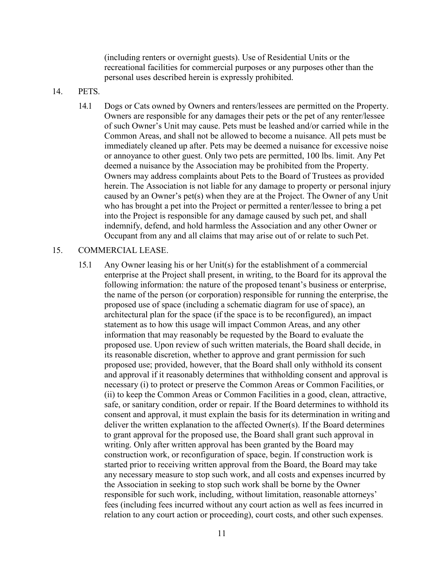(including renters or overnight guests). Use of Residential Units or the recreational facilities for commercial purposes or any purposes other than the personal uses described herein is expressly prohibited.

- 14. PETS.
	- 14.1 Dogs or Cats owned by Owners and renters/lessees are permitted on the Property. Owners are responsible for any damages their pets or the pet of any renter/lessee of such Owner's Unit may cause. Pets must be leashed and/or carried while in the Common Areas, and shall not be allowed to become a nuisance. All pets must be immediately cleaned up after. Pets may be deemed a nuisance for excessive noise or annoyance to other guest. Only two pets are permitted, 100 lbs. limit. Any Pet deemed a nuisance by the Association may be prohibited from the Property. Owners may address complaints about Pets to the Board of Trustees as provided herein. The Association is not liable for any damage to property or personal injury caused by an Owner's pet(s) when they are at the Project. The Owner of any Unit who has brought a pet into the Project or permitted a renter/lessee to bring a pet into the Project is responsible for any damage caused by such pet, and shall indemnify, defend, and hold harmless the Association and any other Owner or Occupant from any and all claims that may arise out of or relate to such Pet.

#### 15. COMMERCIAL LEASE.

15.1 Any Owner leasing his or her Unit(s) for the establishment of a commercial enterprise at the Project shall present, in writing, to the Board for its approval the following information: the nature of the proposed tenant's business or enterprise, the name of the person (or corporation) responsible for running the enterprise, the proposed use of space (including a schematic diagram for use of space), an architectural plan for the space (if the space is to be reconfigured), an impact statement as to how this usage will impact Common Areas, and any other information that may reasonably be requested by the Board to evaluate the proposed use. Upon review of such written materials, the Board shall decide, in its reasonable discretion, whether to approve and grant permission for such proposed use; provided, however, that the Board shall only withhold its consent and approval if it reasonably determines that withholding consent and approval is necessary (i) to protect or preserve the Common Areas or Common Facilities, or (ii) to keep the Common Areas or Common Facilities in a good, clean, attractive, safe, or sanitary condition, order or repair. If the Board determines to withhold its consent and approval, it must explain the basis for its determination in writing and deliver the written explanation to the affected Owner(s). If the Board determines to grant approval for the proposed use, the Board shall grant such approval in writing. Only after written approval has been granted by the Board may construction work, or reconfiguration of space, begin. If construction work is started prior to receiving written approval from the Board, the Board may take any necessary measure to stop such work, and all costs and expenses incurred by the Association in seeking to stop such work shall be borne by the Owner responsible for such work, including, without limitation, reasonable attorneys' fees (including fees incurred without any court action as well as fees incurred in relation to any court action or proceeding), court costs, and other such expenses.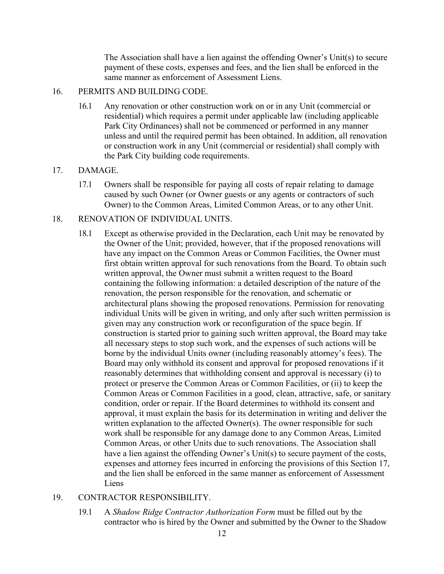The Association shall have a lien against the offending Owner's Unit(s) to secure payment of these costs, expenses and fees, and the lien shall be enforced in the same manner as enforcement of Assessment Liens.

#### 16. PERMITS AND BUILDING CODE.

16.1 Any renovation or other construction work on or in any Unit (commercial or residential) which requires a permit under applicable law (including applicable Park City Ordinances) shall not be commenced or performed in any manner unless and until the required permit has been obtained. In addition, all renovation or construction work in any Unit (commercial or residential) shall comply with the Park City building code requirements.

### 17. DAMAGE.

17.1 Owners shall be responsible for paying all costs of repair relating to damage caused by such Owner (or Owner guests or any agents or contractors of such Owner) to the Common Areas, Limited Common Areas, or to any other Unit.

### 18. RENOVATION OF INDIVIDUAL UNITS.

18.1 Except as otherwise provided in the Declaration, each Unit may be renovated by the Owner of the Unit; provided, however, that if the proposed renovations will have any impact on the Common Areas or Common Facilities, the Owner must first obtain written approval for such renovations from the Board. To obtain such written approval, the Owner must submit a written request to the Board containing the following information: a detailed description of the nature of the renovation, the person responsible for the renovation, and schematic or architectural plans showing the proposed renovations. Permission for renovating individual Units will be given in writing, and only after such written permission is given may any construction work or reconfiguration of the space begin. If construction is started prior to gaining such written approval, the Board may take all necessary steps to stop such work, and the expenses of such actions will be borne by the individual Units owner (including reasonably attorney's fees). The Board may only withhold its consent and approval for proposed renovations if it reasonably determines that withholding consent and approval is necessary (i) to protect or preserve the Common Areas or Common Facilities, or (ii) to keep the Common Areas or Common Facilities in a good, clean, attractive, safe, or sanitary condition, order or repair. If the Board determines to withhold its consent and approval, it must explain the basis for its determination in writing and deliver the written explanation to the affected Owner $(s)$ . The owner responsible for such work shall be responsible for any damage done to any Common Areas, Limited Common Areas, or other Units due to such renovations. The Association shall have a lien against the offending Owner's Unit(s) to secure payment of the costs, expenses and attorney fees incurred in enforcing the provisions of this Section 17, and the lien shall be enforced in the same manner as enforcement of Assessment Liens

## 19. CONTRACTOR RESPONSIBILITY.

19.1 A *Shadow Ridge Contractor Authorization Form* must be filled out by the contractor who is hired by the Owner and submitted by the Owner to the Shadow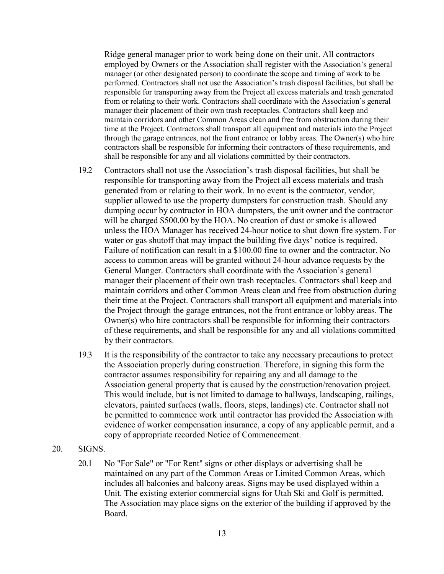Ridge general manager prior to work being done on their unit. All contractors employed by Owners or the Association shall register with the Association's general manager (or other designated person) to coordinate the scope and timing of work to be performed. Contractors shall not use the Association's trash disposal facilities, but shall be responsible for transporting away from the Project all excess materials and trash generated from or relating to their work. Contractors shall coordinate with the Association's general manager their placement of their own trash receptacles. Contractors shall keep and maintain corridors and other Common Areas clean and free from obstruction during their time at the Project. Contractors shall transport all equipment and materials into the Project through the garage entrances, not the front entrance or lobby areas. The Owner(s) who hire contractors shall be responsible for informing their contractors of these requirements, and shall be responsible for any and all violations committed by their contractors.

- 19.2 Contractors shall not use the Association's trash disposal facilities, but shall be responsible for transporting away from the Project all excess materials and trash generated from or relating to their work. In no event is the contractor, vendor, supplier allowed to use the property dumpsters for construction trash. Should any dumping occur by contractor in HOA dumpsters, the unit owner and the contractor will be charged \$500.00 by the HOA. No creation of dust or smoke is allowed unless the HOA Manager has received 24-hour notice to shut down fire system. For water or gas shutoff that may impact the building five days' notice is required. Failure of notification can result in a \$100.00 fine to owner and the contractor. No access to common areas will be granted without 24-hour advance requests by the General Manger. Contractors shall coordinate with the Association's general manager their placement of their own trash receptacles. Contractors shall keep and maintain corridors and other Common Areas clean and free from obstruction during their time at the Project. Contractors shall transport all equipment and materials into the Project through the garage entrances, not the front entrance or lobby areas. The Owner(s) who hire contractors shall be responsible for informing their contractors of these requirements, and shall be responsible for any and all violations committed by their contractors.
- 19.3 It is the responsibility of the contractor to take any necessary precautions to protect the Association properly during construction. Therefore, in signing this form the contractor assumes responsibility for repairing any and all damage to the Association general property that is caused by the construction/renovation project. This would include, but is not limited to damage to hallways, landscaping, railings, elevators, painted surfaces (walls, floors, steps, landings) etc. Contractor shall not be permitted to commence work until contractor has provided the Association with evidence of worker compensation insurance, a copy of any applicable permit, and a copy of appropriate recorded Notice of Commencement.
- 20. SIGNS.
	- 20.1 No "For Sale" or "For Rent" signs or other displays or advertising shall be maintained on any part of the Common Areas or Limited Common Areas, which includes all balconies and balcony areas. Signs may be used displayed within a Unit. The existing exterior commercial signs for Utah Ski and Golf is permitted. The Association may place signs on the exterior of the building if approved by the Board.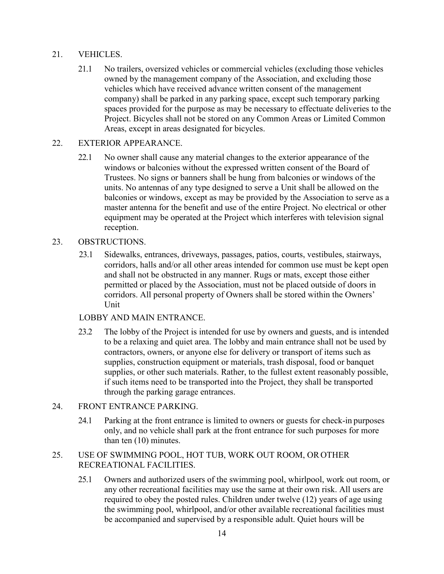# 21. VEHICLES.

21.1 No trailers, oversized vehicles or commercial vehicles (excluding those vehicles owned by the management company of the Association, and excluding those vehicles which have received advance written consent of the management company) shall be parked in any parking space, except such temporary parking spaces provided for the purpose as may be necessary to effectuate deliveries to the Project. Bicycles shall not be stored on any Common Areas or Limited Common Areas, except in areas designated for bicycles.

# 22. EXTERIOR APPEARANCE.

22.1 No owner shall cause any material changes to the exterior appearance of the windows or balconies without the expressed written consent of the Board of Trustees. No signs or banners shall be hung from balconies or windows of the units. No antennas of any type designed to serve a Unit shall be allowed on the balconies or windows, except as may be provided by the Association to serve as a master antenna for the benefit and use of the entire Project. No electrical or other equipment may be operated at the Project which interferes with television signal reception.

# 23. OBSTRUCTIONS.

23.1 Sidewalks, entrances, driveways, passages, patios, courts, vestibules, stairways, corridors, halls and/or all other areas intended for common use must be kept open and shall not be obstructed in any manner. Rugs or mats, except those either permitted or placed by the Association, must not be placed outside of doors in corridors. All personal property of Owners shall be stored within the Owners' Unit

## LOBBY AND MAIN ENTRANCE.

23.2 The lobby of the Project is intended for use by owners and guests, and is intended to be a relaxing and quiet area. The lobby and main entrance shall not be used by contractors, owners, or anyone else for delivery or transport of items such as supplies, construction equipment or materials, trash disposal, food or banquet supplies, or other such materials. Rather, to the fullest extent reasonably possible, if such items need to be transported into the Project, they shall be transported through the parking garage entrances.

# 24. FRONT ENTRANCE PARKING.

24.1 Parking at the front entrance is limited to owners or guests for check-in purposes only, and no vehicle shall park at the front entrance for such purposes for more than ten (10) minutes.

# 25. USE OF SWIMMING POOL, HOT TUB, WORK OUT ROOM, OROTHER RECREATIONAL FACILITIES.

25.1 Owners and authorized users of the swimming pool, whirlpool, work out room, or any other recreational facilities may use the same at their own risk. All users are required to obey the posted rules. Children under twelve (12) years of age using the swimming pool, whirlpool, and/or other available recreational facilities must be accompanied and supervised by a responsible adult. Quiet hours will be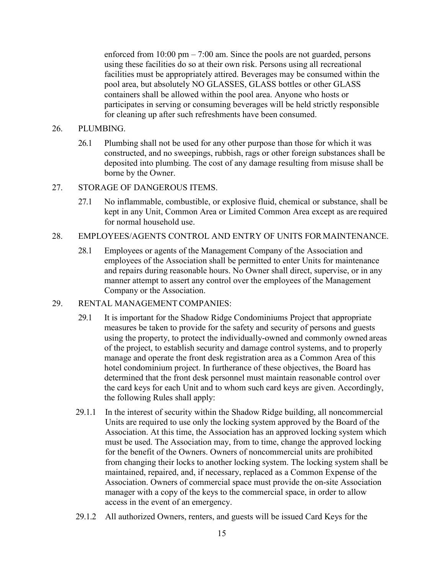enforced from  $10:00 \text{ pm} - 7:00 \text{ am}$ . Since the pools are not guarded, persons using these facilities do so at their own risk. Persons using all recreational facilities must be appropriately attired. Beverages may be consumed within the pool area, but absolutely NO GLASSES, GLASS bottles or other GLASS containers shall be allowed within the pool area. Anyone who hosts or participates in serving or consuming beverages will be held strictly responsible for cleaning up after such refreshments have been consumed.

#### 26. PLUMBING.

- 26.1 Plumbing shall not be used for any other purpose than those for which it was constructed, and no sweepings, rubbish, rags or other foreign substances shall be deposited into plumbing. The cost of any damage resulting from misuse shall be borne by the Owner.
- 27. STORAGE OF DANGEROUS ITEMS.
	- 27.1 No inflammable, combustible, or explosive fluid, chemical or substance, shall be kept in any Unit, Common Area or Limited Common Area except as are required for normal household use.

### 28. EMPLOYEES/AGENTS CONTROL AND ENTRY OF UNITS FORMAINTENANCE.

- 28.1 Employees or agents of the Management Company of the Association and employees of the Association shall be permitted to enter Units for maintenance and repairs during reasonable hours. No Owner shall direct, supervise, or in any manner attempt to assert any control over the employees of the Management Company or the Association.
- 29. RENTAL MANAGEMENT COMPANIES:
	- 29.1 It is important for the Shadow Ridge Condominiums Project that appropriate measures be taken to provide for the safety and security of persons and guests using the property, to protect the individually-owned and commonly owned areas of the project, to establish security and damage control systems, and to properly manage and operate the front desk registration area as a Common Area of this hotel condominium project. In furtherance of these objectives, the Board has determined that the front desk personnel must maintain reasonable control over the card keys for each Unit and to whom such card keys are given. Accordingly, the following Rules shall apply:
	- 29.1.1 In the interest of security within the Shadow Ridge building, all noncommercial Units are required to use only the locking system approved by the Board of the Association. At this time, the Association has an approved locking system which must be used. The Association may, from to time, change the approved locking for the benefit of the Owners. Owners of noncommercial units are prohibited from changing their locks to another locking system. The locking system shall be maintained, repaired, and, if necessary, replaced as a Common Expense of the Association. Owners of commercial space must provide the on-site Association manager with a copy of the keys to the commercial space, in order to allow access in the event of an emergency.
	- 29.1.2 All authorized Owners, renters, and guests will be issued Card Keys for the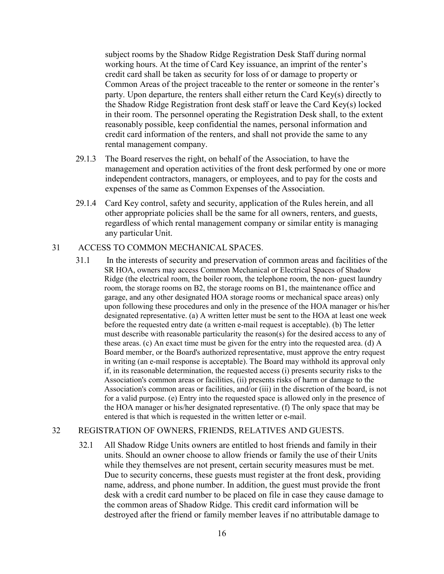subject rooms by the Shadow Ridge Registration Desk Staff during normal working hours. At the time of Card Key issuance, an imprint of the renter's credit card shall be taken as security for loss of or damage to property or Common Areas of the project traceable to the renter or someone in the renter's party. Upon departure, the renters shall either return the Card Key(s) directly to the Shadow Ridge Registration front desk staff or leave the Card Key(s) locked in their room. The personnel operating the Registration Desk shall, to the extent reasonably possible, keep confidential the names, personal information and credit card information of the renters, and shall not provide the same to any rental management company.

- 29.1.3 The Board reserves the right, on behalf of the Association, to have the management and operation activities of the front desk performed by one or more independent contractors, managers, or employees, and to pay for the costs and expenses of the same as Common Expenses of the Association.
- 29.1.4 Card Key control, safety and security, application of the Rules herein, and all other appropriate policies shall be the same for all owners, renters, and guests, regardless of which rental management company or similar entity is managing any particular Unit.

## 31 ACCESS TO COMMON MECHANICAL SPACES.

31.1 In the interests of security and preservation of common areas and facilities of the SR HOA, owners may access Common Mechanical or Electrical Spaces of Shadow Ridge (the electrical room, the boiler room, the telephone room, the non- guest laundry room, the storage rooms on B2, the storage rooms on B1, the maintenance office and garage, and any other designated HOA storage rooms or mechanical space areas) only upon following these procedures and only in the presence of the HOA manager or his/her designated representative. (a) A written letter must be sent to the HOA at least one week before the requested entry date (a written e-mail request is acceptable). (b) The letter must describe with reasonable particularity the reason(s) for the desired access to any of these areas. (c) An exact time must be given for the entry into the requested area. (d) A Board member, or the Board's authorized representative, must approve the entry request in writing (an e-mail response is acceptable). The Board may withhold its approval only if, in its reasonable determination, the requested access (i) presents security risks to the Association's common areas or facilities, (ii) presents risks of harm or damage to the Association's common areas or facilities, and/or (iii) in the discretion of the board, is not for a valid purpose. (e) Entry into the requested space is allowed only in the presence of the HOA manager or his/her designated representative. (f) The only space that may be entered is that which is requested in the written letter or e-mail.

# 32 REGISTRATION OF OWNERS, FRIENDS, RELATIVES AND GUESTS.

32.1 All Shadow Ridge Units owners are entitled to host friends and family in their units. Should an owner choose to allow friends or family the use of their Units while they themselves are not present, certain security measures must be met. Due to security concerns, these guests must register at the front desk, providing name, address, and phone number. In addition, the guest must provide the front desk with a credit card number to be placed on file in case they cause damage to the common areas of Shadow Ridge. This credit card information will be destroyed after the friend or family member leaves if no attributable damage to